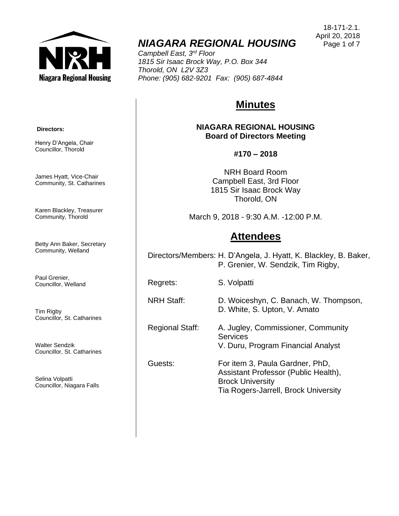

# *NIAGARA REGIONAL HOUSING*

*Campbell East, 3rd Floor 1815 Sir Isaac Brock Way, P.O. Box 344 Thorold, ON L2V 3Z3 Phone: (905) 682-9201 Fax: (905) 687-4844*

# **Minutes**

**NIAGARA REGIONAL HOUSING Board of Directors Meeting**

### **#170 – 2018**

NRH Board Room Campbell East, 3rd Floor 1815 Sir Isaac Brock Way Thorold, ON

March 9, 2018 - 9:30 A.M. -12:00 P.M.

## **Attendees**

Directors/Members: H. D'Angela, J. Hyatt, K. Blackley, B. Baker, P. Grenier, W. Sendzik, Tim Rigby,

Regrets: S. Volpatti

NRH Staff: D. Woiceshyn, C. Banach, W. Thompson,

D. White, S. Upton, V. Amato

Regional Staff: A. Jugley, Commissioner, Community **Services** 

V. Duru, Program Financial Analyst

Guests: For item 3, Paula Gardner, PhD, Assistant Professor (Public Health), Brock University Tia Rogers-Jarrell, Brock University

**Directors:**

Henry D'Angela, Chair Councillor, Thorold

James Hyatt, Vice-Chair Community, St. Catharines

Karen Blackley, Treasurer Community, Thorold

Betty Ann Baker, Secretary Community, Welland

Paul Grenier, Councillor, Welland

Tim Rigby Councillor, St. Catharines

Walter Sendzik Councillor, St. Catharines

Selina Volpatti Councillor, Niagara Falls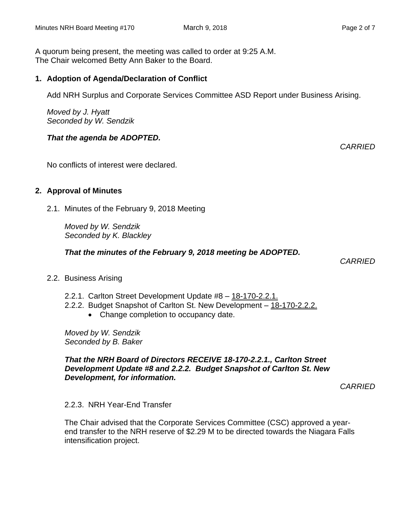A quorum being present, the meeting was called to order at 9:25 A.M. The Chair welcomed Betty Ann Baker to the Board.

#### **1. Adoption of Agenda/Declaration of Conflict**

Add NRH Surplus and Corporate Services Committee ASD Report under Business Arising.

*Moved by J. Hyatt Seconded by W. Sendzik*

#### *That the agenda be ADOPTED.*

No conflicts of interest were declared.

#### **2. Approval of Minutes**

2.1. Minutes of the February 9, 2018 Meeting

*Moved by W. Sendzik Seconded by K. Blackley*

*That the minutes of the February 9, 2018 meeting be ADOPTED.* 

*CARRIED*

- 2.2. Business Arising
	- 2.2.1. Carlton Street Development Update #8 18-170-2.2.1.
	- 2.2.2. Budget Snapshot of Carlton St. New Development 18-170-2.2.2.
		- Change completion to occupancy date.

*Moved by W. Sendzik Seconded by B. Baker*

#### *That the NRH Board of Directors RECEIVE 18-170-2.2.1., Carlton Street Development Update #8 and 2.2.2. Budget Snapshot of Carlton St. New Development, for information.*

*CARRIED*

#### 2.2.3. NRH Year-End Transfer

The Chair advised that the Corporate Services Committee (CSC) approved a yearend transfer to the NRH reserve of \$2.29 M to be directed towards the Niagara Falls intensification project.

*CARRIED*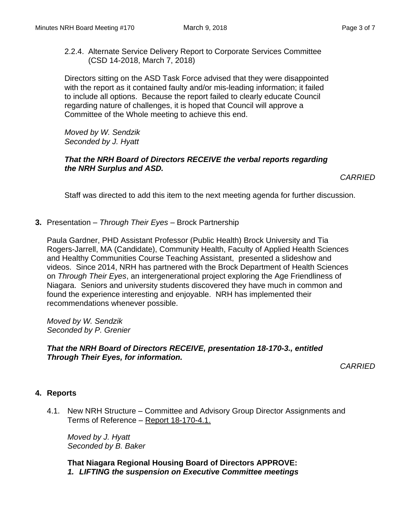2.2.4. Alternate Service Delivery Report to Corporate Services Committee (CSD 14-2018, March 7, 2018)

Directors sitting on the ASD Task Force advised that they were disappointed with the report as it contained faulty and/or mis-leading information; it failed to include all options. Because the report failed to clearly educate Council regarding nature of challenges, it is hoped that Council will approve a Committee of the Whole meeting to achieve this end.

*Moved by W. Sendzik Seconded by J. Hyatt*

#### *That the NRH Board of Directors RECEIVE the verbal reports regarding the NRH Surplus and ASD.*

*CARRIED*

Staff was directed to add this item to the next meeting agenda for further discussion.

**3.** Presentation – *Through Their Eyes* – Brock Partnership

Paula Gardner, PHD Assistant Professor (Public Health) Brock University and Tia Rogers-Jarrell, MA (Candidate), Community Health, Faculty of Applied Health Sciences and Healthy Communities Course Teaching Assistant, presented a slideshow and videos. Since 2014, NRH has partnered with the Brock Department of Health Sciences on *Through Their Eyes*, an intergenerational project exploring the Age Friendliness of Niagara. Seniors and university students discovered they have much in common and found the experience interesting and enjoyable. NRH has implemented their recommendations whenever possible.

*Moved by W. Sendzik Seconded by P. Grenier*

### *That the NRH Board of Directors RECEIVE, presentation 18-170-3., entitled Through Their Eyes, for information.*

*CARRIED*

## **4. Reports**

4.1. New NRH Structure – Committee and Advisory Group Director Assignments and Terms of Reference – Report 18-170-4.1.

*Moved by J. Hyatt Seconded by B. Baker*

**That Niagara Regional Housing Board of Directors APPROVE:** *1. LIFTING the suspension on Executive Committee meetings*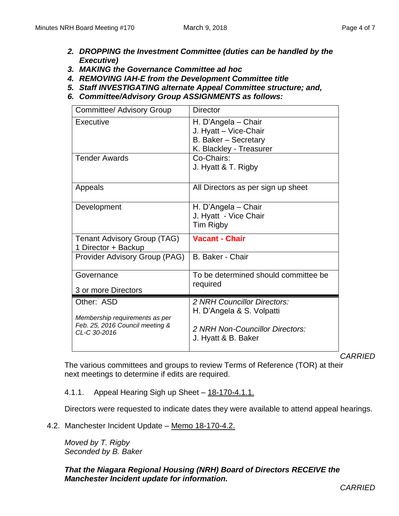- *2. DROPPING the Investment Committee (duties can be handled by the Executive)*
- *3. MAKING the Governance Committee ad hoc*
- *4. REMOVING IAH-E from the Development Committee title*
- *5. Staff INVESTIGATING alternate Appeal Committee structure; and,*
- *6. Committee/Advisory Group ASSIGNMENTS as follows:*

| <b>Committee/ Advisory Group</b>                                                                | <b>Director</b>                                                                                                    |
|-------------------------------------------------------------------------------------------------|--------------------------------------------------------------------------------------------------------------------|
| Executive                                                                                       | H. D'Angela - Chair<br>J. Hyatt - Vice-Chair<br>B. Baker - Secretary<br>K. Blackley - Treasurer                    |
| <b>Tender Awards</b>                                                                            | Co-Chairs:<br>J. Hyatt & T. Rigby                                                                                  |
| Appeals                                                                                         | All Directors as per sign up sheet                                                                                 |
| Development                                                                                     | H. D'Angela - Chair<br>J. Hyatt - Vice Chair<br>Tim Rigby                                                          |
| <b>Tenant Advisory Group (TAG)</b><br>1 Director + Backup                                       | <b>Vacant - Chair</b>                                                                                              |
| Provider Advisory Group (PAG)                                                                   | B. Baker - Chair                                                                                                   |
| Governance<br>3 or more Directors                                                               | To be determined should committee be<br>required                                                                   |
| Other: ASD<br>Membership requirements as per<br>Feb. 25, 2016 Council meeting &<br>CL-C 30-2016 | 2 NRH Councillor Directors:<br>H. D'Angela & S. Volpatti<br>2 NRH Non-Councillor Directors:<br>J. Hyatt & B. Baker |

*CARRIED*

The various committees and groups to review Terms of Reference (TOR) at their next meetings to determine if edits are required.

4.1.1. Appeal Hearing Sigh up Sheet – 18-170-4.1.1.

Directors were requested to indicate dates they were available to attend appeal hearings.

4.2. Manchester Incident Update – Memo 18-170-4.2.

*Moved by T. Rigby Seconded by B. Baker*

*That the Niagara Regional Housing (NRH) Board of Directors RECEIVE the Manchester Incident update for information.*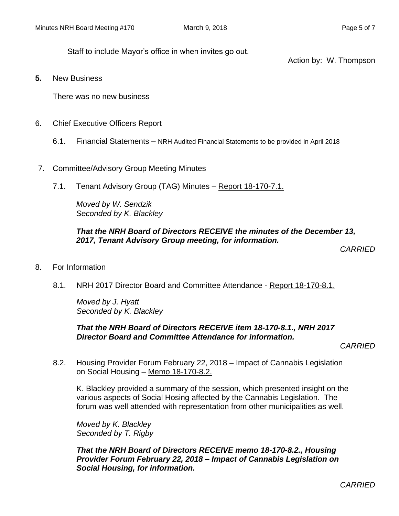Staff to include Mayor's office in when invites go out.

Action by: W. Thompson

**5.** New Business

There was no new business

- 6. Chief Executive Officers Report
	- 6.1. Financial Statements NRH Audited Financial Statements to be provided in April 2018
- 7. Committee/Advisory Group Meeting Minutes
	- 7.1. Tenant Advisory Group (TAG) Minutes Report 18-170-7.1.

*Moved by W. Sendzik Seconded by K. Blackley*

#### *That the NRH Board of Directors RECEIVE the minutes of the December 13, 2017, Tenant Advisory Group meeting, for information.*

*CARRIED*

- 8. For Information
	- 8.1. NRH 2017 Director Board and Committee Attendance Report 18-170-8.1.

*Moved by J. Hyatt Seconded by K. Blackley*

#### *That the NRH Board of Directors RECEIVE item 18-170-8.1., NRH 2017 Director Board and Committee Attendance for information.*

*CARRIED*

8.2. Housing Provider Forum February 22, 2018 – Impact of Cannabis Legislation on Social Housing – Memo 18-170-8.2.

K. Blackley provided a summary of the session, which presented insight on the various aspects of Social Hosing affected by the Cannabis Legislation. The forum was well attended with representation from other municipalities as well.

*Moved by K. Blackley Seconded by T. Rigby*

*That the NRH Board of Directors RECEIVE memo 18-170-8.2., Housing Provider Forum February 22, 2018 – Impact of Cannabis Legislation on Social Housing, for information.*

*CARRIED*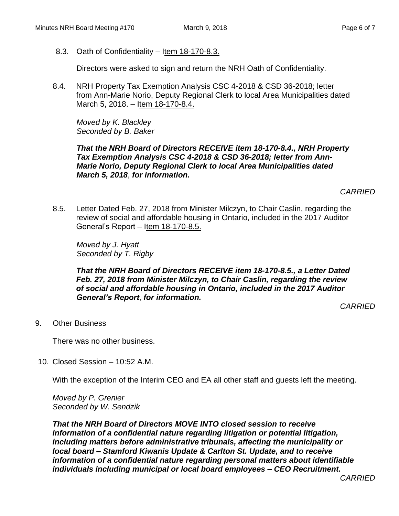8.3. Oath of Confidentiality – Item 18-170-8.3.

Directors were asked to sign and return the NRH Oath of Confidentiality.

8.4. NRH Property Tax Exemption Analysis CSC 4-2018 & CSD 36-2018; letter from Ann-Marie Norio, Deputy Regional Clerk to local Area Municipalities dated March 5, 2018. – Item 18-170-8.4.

*Moved by K. Blackley Seconded by B. Baker*

*That the NRH Board of Directors RECEIVE item 18-170-8.4., NRH Property Tax Exemption Analysis CSC 4-2018 & CSD 36-2018; letter from Ann-Marie Norio, Deputy Regional Clerk to local Area Municipalities dated March 5, 2018*, *for information.*

*CARRIED*

8.5. Letter Dated Feb. 27, 2018 from Minister Milczyn, to Chair Caslin, regarding the review of social and affordable housing in Ontario, included in the 2017 Auditor General's Report – Item 18-170-8.5.

*Moved by J. Hyatt Seconded by T. Rigby*

*That the NRH Board of Directors RECEIVE item 18-170-8.5., a Letter Dated Feb. 27, 2018 from Minister Milczyn, to Chair Caslin, regarding the review of social and affordable housing in Ontario, included in the 2017 Auditor General's Report*, *for information.*

*CARRIED*

9. Other Business

There was no other business.

10. Closed Session – 10:52 A.M.

With the exception of the Interim CEO and EA all other staff and guests left the meeting.

*Moved by P. Grenier Seconded by W. Sendzik*

*That the NRH Board of Directors MOVE INTO closed session to receive information of a confidential nature regarding litigation or potential litigation, including matters before administrative tribunals, affecting the municipality or local board – Stamford Kiwanis Update & Carlton St. Update, and to receive information of a confidential nature regarding personal matters about identifiable individuals including municipal or local board employees – CEO Recruitment.*

*CARRIED*